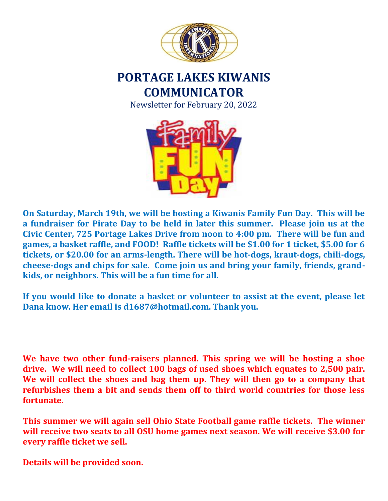

# **PORTAGE LAKES KIWANIS COMMUNICATOR**

Newsletter for February 20, 2022



**On Saturday, March 19th, we will be hosting a Kiwanis Family Fun Day. This will be a fundraiser for Pirate Day to be held in later this summer. Please join us at the Civic Center, 725 Portage Lakes Drive from noon to 4:00 pm. There will be fun and games, a basket raffle, and FOOD! Raffle tickets will be \$1.00 for 1 ticket, \$5.00 for 6 tickets, or \$20.00 for an arms-length. There will be hot-dogs, kraut-dogs, chili-dogs, cheese-dogs and chips for sale. Come join us and bring your family, friends, grandkids, or neighbors. This will be a fun time for all.** 

**If you would like to donate a basket or volunteer to assist at the event, please let Dana know. Her email is d1687@hotmail.com. Thank you.** 

**We have two other fund-raisers planned. This spring we will be hosting a shoe drive. We will need to collect 100 bags of used shoes which equates to 2,500 pair. We will collect the shoes and bag them up. They will then go to a company that refurbishes them a bit and sends them off to third world countries for those less fortunate.**

**This summer we will again sell Ohio State Football game raffle tickets. The winner will receive two seats to all OSU home games next season. We will receive \$3.00 for every raffle ticket we sell.**

**Details will be provided soon.**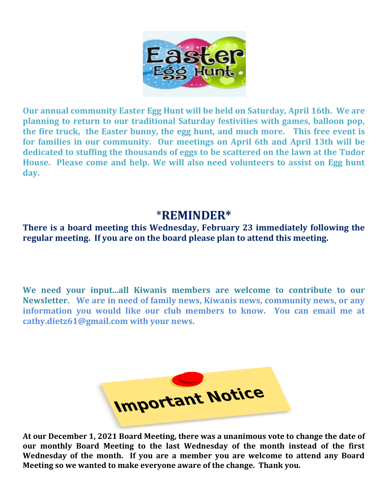

**Our annual community Easter Egg Hunt will be held on Saturday, April 16th. We are planning to return to our traditional Saturday festivities with games, balloon pop, the fire truck, the Easter bunny, the egg hunt, and much more. This free event is for families in our community. Our meetings on April 6th and April 13th will be dedicated to stuffing the thousands of eggs to be scattered on the lawn at the Tudor House. Please come and help. We will also need volunteers to assist on Egg hunt day.**

## \***REMINDER\***

**There is a board meeting this Wednesday, February 23 immediately following the regular meeting. If you are on the board please plan to attend this meeting.** 

**We need your input...all Kiwanis members are welcome to contribute to our Newsletter. We are in need of family news, Kiwanis news, community news, or any information you would like our club members to know. You can email me at cathy.dietz61@gmail.com with your news.** 



**At our December 1, 2021 Board Meeting, there was a unanimous vote to change the date of our monthly Board Meeting to the last Wednesday of the month instead of the first Wednesday of the month. If you are a member you are welcome to attend any Board Meeting so we wanted to make everyone aware of the change. Thank you.**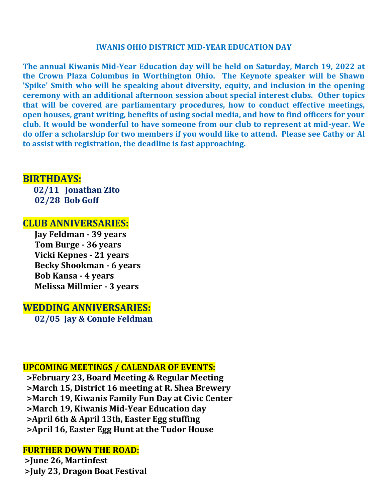#### **IWANIS OHIO DISTRICT MID-YEAR EDUCATION DAY**

**The annual Kiwanis Mid-Year Education day will be held on Saturday, March 19, 2022 at the Crown Plaza Columbus in Worthington Ohio. The Keynote speaker will be Shawn 'Spike' Smith who will be speaking about diversity, equity, and inclusion in the opening ceremony with an additional afternoon session about special interest clubs. Other topics that will be covered are parliamentary procedures, how to conduct effective meetings, open houses, grant writing, benefits of using social media, and how to find officers for your club. It would be wonderful to have someone from our club to represent at mid-year. We do offer a scholarship for two members if you would like to attend. Please see Cathy or Al to assist with registration, the deadline is fast approaching.** 

### **BIRTHDAYS:**

 **02/11 Jonathan Zito 02/28 Bob Goff**

#### **CLUB ANNIVERSARIES:**

 **Jay Feldman - 39 years Tom Burge - 36 years Vicki Kepnes - 21 years Becky Shookman - 6 years Bob Kansa - 4 years Melissa Millmier - 3 years**

**WEDDING ANNIVERSARIES:**

 **02/05 Jay & Connie Feldman**

#### **UPCOMING MEETINGS / CALENDAR OF EVENTS:**

 **>February 23, Board Meeting & Regular Meeting >March 15, District 16 meeting at R. Shea Brewery >March 19, Kiwanis Family Fun Day at Civic Center >March 19, Kiwanis Mid-Year Education day >April 6th & April 13th, Easter Egg stuffing >April 16, Easter Egg Hunt at the Tudor House**

#### **FURTHER DOWN THE ROAD:**

**>June 26, Martinfest >July 23, Dragon Boat Festival**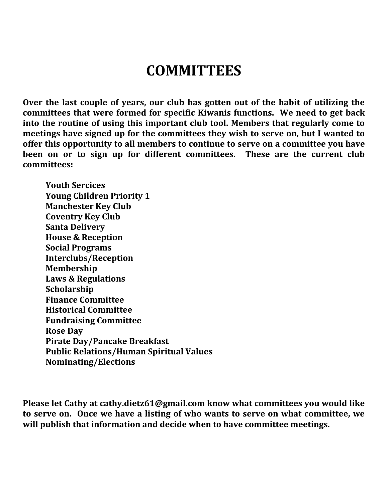# **COMMITTEES**

**Over the last couple of years, our club has gotten out of the habit of utilizing the committees that were formed for specific Kiwanis functions. We need to get back into the routine of using this important club tool. Members that regularly come to meetings have signed up for the committees they wish to serve on, but I wanted to offer this opportunity to all members to continue to serve on a committee you have been on or to sign up for different committees. These are the current club committees:**

**Youth Sercices Young Children Priority 1 Manchester Key Club Coventry Key Club Santa Delivery House & Reception Social Programs Interclubs/Reception Membership Laws & Regulations Scholarship Finance Committee Historical Committee Fundraising Committee Rose Day Pirate Day/Pancake Breakfast Public Relations/Human Spiritual Values Nominating/Elections**

**Please let Cathy at cathy.dietz61@gmail.com know what committees you would like to serve on. Once we have a listing of who wants to serve on what committee, we will publish that information and decide when to have committee meetings.**